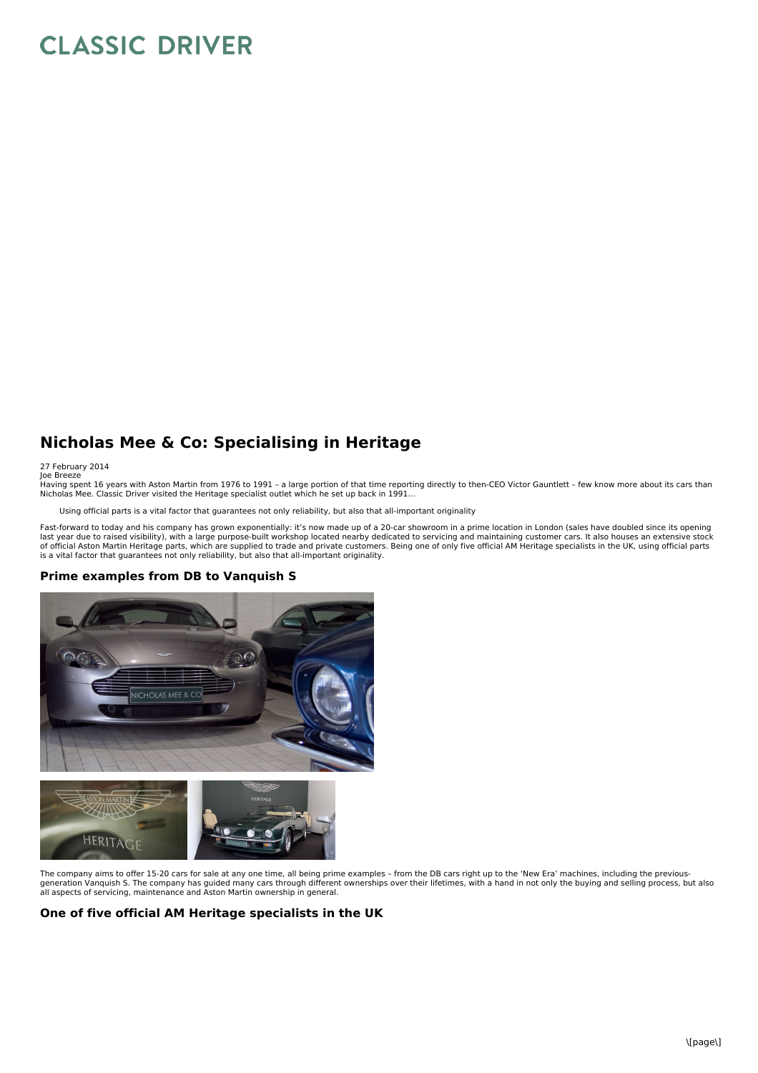## **CLASSIC DRIVER**

## **Nicholas Mee & Co: Specialising in Heritage**

27 February 2014

Joe Breeze<br>Having spent 16 years with Aston Martin from 1976 to 1991 – a large portion of that time reporting directly to then-CEO Victor Gauntlett – few know more about its cars than Nicholas Mee. Classic Driver visited the Heritage specialist outlet which he set up back in 1991…

Using official parts is a vital factor that guarantees not only reliability, but also that all-important originality

Fast-forward to today and his company has grown exponentially: it's now made up of a 20-car showroom in a prime location in London (sales have doubled since its opening<br>last year due to raised visibility), with a large pur of official Aston Martin Heritage parts, which are supplied to trade and private customers. Being one of only five official AM Heritage specialists in the UK, using official parts<br>is a vital factor that guarantees not only

## **Prime examples from DB to Vanquish S**





The company aims to offer 15-20 cars for sale at any one time, all being prime examples - from the DB cars right up to the 'New Era' machines, including the previous-<br>generation Vanquish S. The company has guided many cars all aspects of servicing, maintenance and Aston Martin ownership in general.

## **One of five official AM Heritage specialists in the UK**